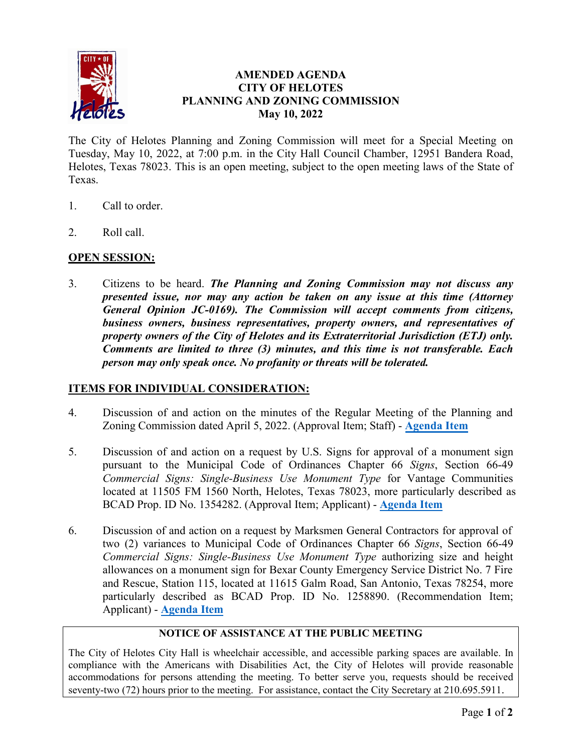

## **AMENDED AGENDA CITY OF HELOTES PLANNING AND ZONING COMMISSION May 10, 2022**

The City of Helotes Planning and Zoning Commission will meet for a Special Meeting on Tuesday, May 10, 2022, at 7:00 p.m. in the City Hall Council Chamber, 12951 Bandera Road, Helotes, Texas 78023. This is an open meeting, subject to the open meeting laws of the State of Texas.

- 1. Call to order.
- 2. Roll call.

# **OPEN SESSION:**

3. Citizens to be heard. *The Planning and Zoning Commission may not discuss any presented issue, nor may any action be taken on any issue at this time (Attorney General Opinion JC-0169). The Commission will accept comments from citizens, business owners, business representatives, property owners, and representatives of property owners of the City of Helotes and its Extraterritorial Jurisdiction (ETJ) only. Comments are limited to three (3) minutes, and this time is not transferable. Each person may only speak once. No profanity or threats will be tolerated.*

### **ITEMS FOR INDIVIDUAL CONSIDERATION:**

- 4. Discussion of and action on the minutes of the Regular Meeting of the Planning and Zoning Commission dated April 5, 2022. (Approval Item; Staff) - **[Agenda Item](https://helotes-tx.gov/wp-content/uploads/2022/05/4-Minutes.pdf)**
- 5. Discussion of and action on a request by U.S. Signs for approval of a monument sign pursuant to the Municipal Code of Ordinances Chapter 66 *Signs*, Section 66-49 *Commercial Signs: Single-Business Use Monument Type* for Vantage Communities located at 11505 FM 1560 North, Helotes, Texas 78023, more particularly described as BCAD Prop. ID No. 1354282. (Approval Item; Applicant) - **[Agenda Item](https://helotes-tx.gov/wp-content/uploads/2022/05/5-Vantage-Binder.pdf)**
- 6. Discussion of and action on a request by Marksmen General Contractors for approval of two (2) variances to Municipal Code of Ordinances Chapter 66 *Signs*, Section 66-49 *Commercial Signs: Single-Business Use Monument Type* authorizing size and height allowances on a monument sign for Bexar County Emergency Service District No. 7 Fire and Rescue, Station 115, located at 11615 Galm Road, San Antonio, Texas 78254, more particularly described as BCAD Prop. ID No. 1258890. (Recommendation Item; Applicant) - **[Agenda Item](https://helotes-tx.gov/wp-content/uploads/2022/05/6-Binder-D7.pdf)**

#### **NOTICE OF ASSISTANCE AT THE PUBLIC MEETING**

The City of Helotes City Hall is wheelchair accessible, and accessible parking spaces are available. In compliance with the Americans with Disabilities Act, the City of Helotes will provide reasonable accommodations for persons attending the meeting. To better serve you, requests should be received seventy-two (72) hours prior to the meeting. For assistance, contact the City Secretary at 210.695.5911.